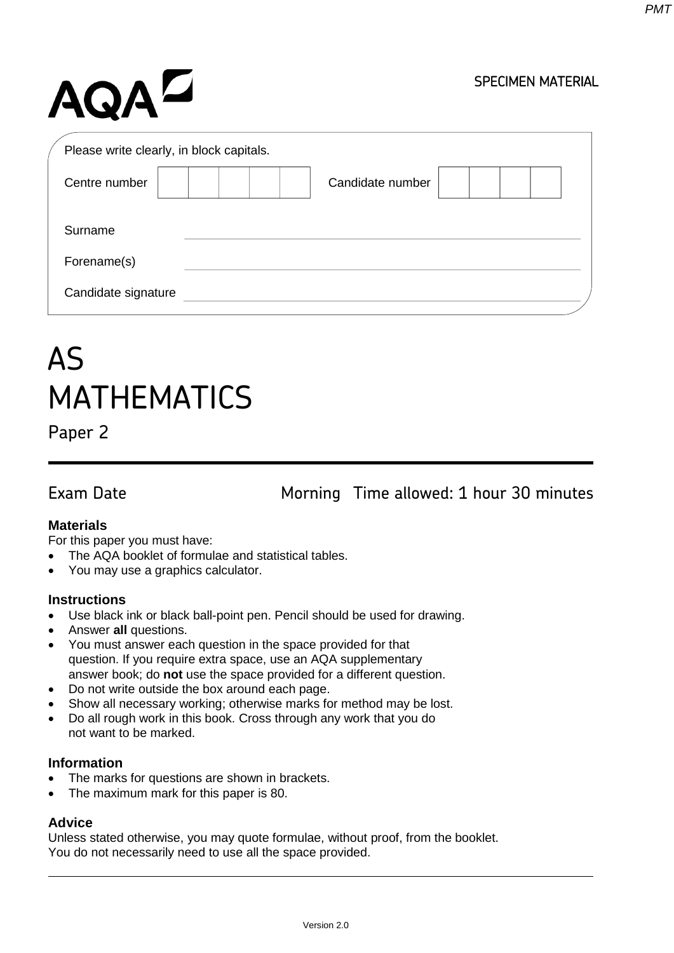# AQAZ

#### SPECIMEN MATERIAL

| Please write clearly, in block capitals. |                  |
|------------------------------------------|------------------|
| Centre number                            | Candidate number |
| Surname                                  |                  |
| Forename(s)                              |                  |
| Candidate signature                      |                  |

# AS MATHEMATICS

Paper 2

Exam Date Morning Time allowed: 1 hour 30 minutes

#### **Materials**

For this paper you must have:

- The AQA booklet of formulae and statistical tables.
- You may use a graphics calculator.

#### **Instructions**

- Use black ink or black ball-point pen. Pencil should be used for drawing.
- Answer **all** questions.
- You must answer each question in the space provided for that question. If you require extra space, use an AQA supplementary answer book; do **not** use the space provided for a different question.
- Do not write outside the box around each page.
- Show all necessary working; otherwise marks for method may be lost.
- Do all rough work in this book. Cross through any work that you do not want to be marked.

#### **Information**

- The marks for questions are shown in brackets.
- The maximum mark for this paper is 80.

### **Advice**

Unless stated otherwise, you may quote formulae, without proof, from the booklet. You do not necessarily need to use all the space provided.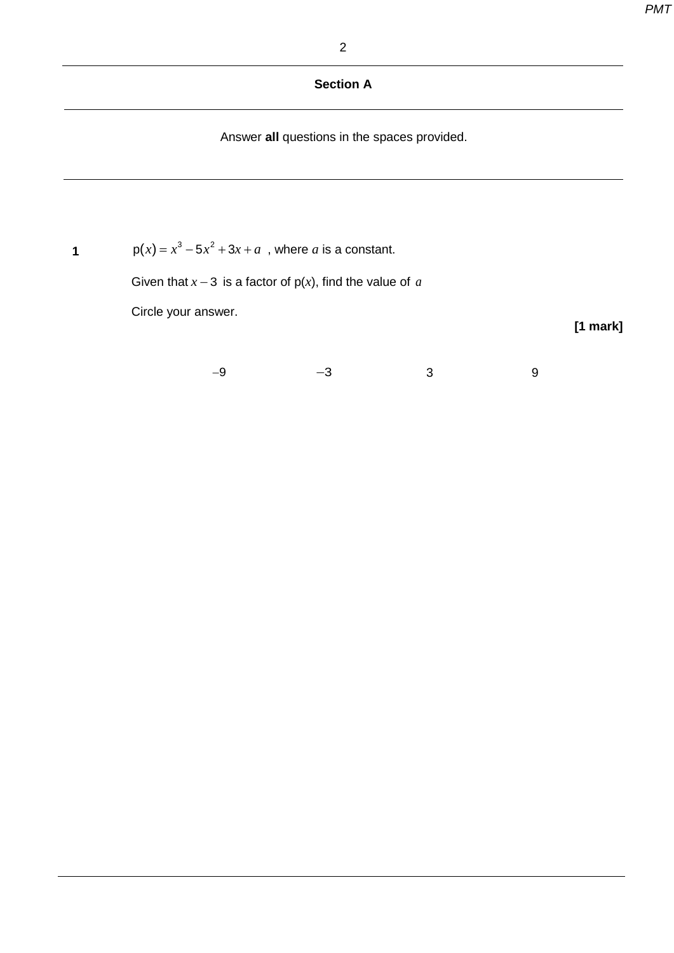#### 2

## **Section A**

Answer **all** questions in the spaces provided.

**1**  $p(x) = x^3 - 5x^2 + 3x + a$ , where *a* is a constant.

Given that  $x - 3$  is a factor of  $p(x)$ , find the value of *a* 

Circle your answer.

**[1 mark]**

−9 −3 3 9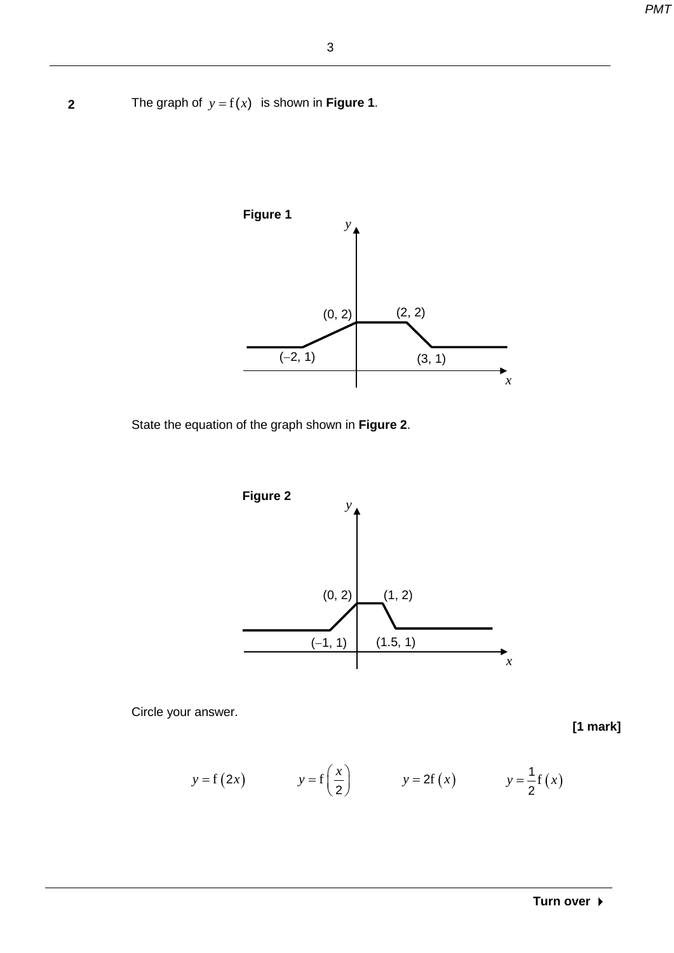**2** The graph of  $y = f(x)$  is shown in **Figure 1**.



State the equation of the graph shown in **Figure 2**.



Circle your answer.

$$
y = f(2x)
$$
  $y = f(\frac{x}{2})$   $y = 2f(x)$   $y = \frac{1}{2}f(x)$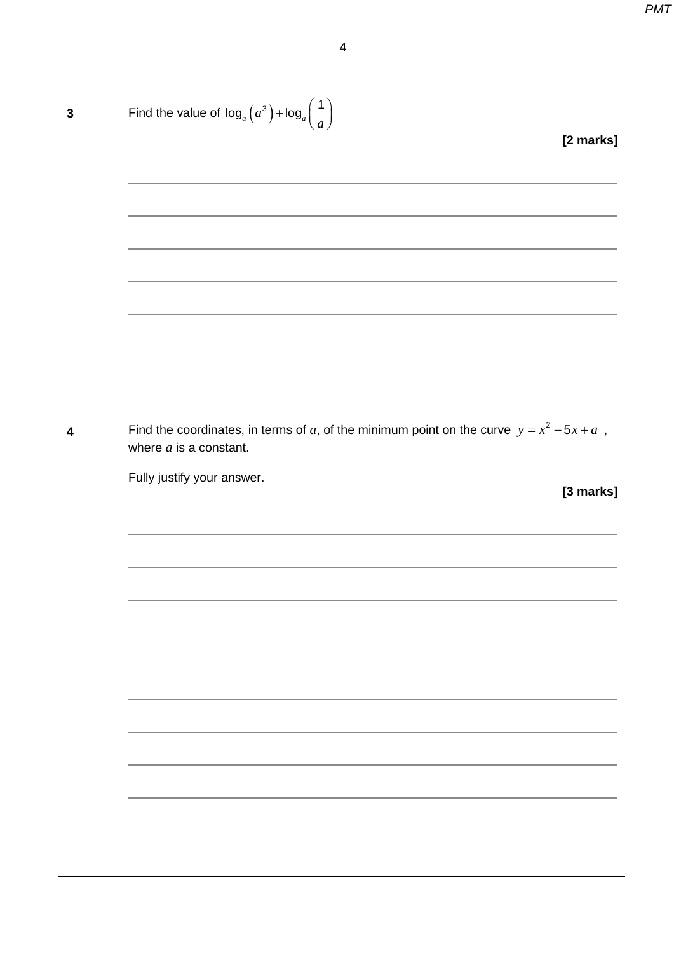| Find the value of $\log_a(a^3) + \log_a\left(\frac{1}{a}\right)$                                                        |  |  |           |
|-------------------------------------------------------------------------------------------------------------------------|--|--|-----------|
|                                                                                                                         |  |  | [2 marks] |
|                                                                                                                         |  |  |           |
|                                                                                                                         |  |  |           |
|                                                                                                                         |  |  |           |
|                                                                                                                         |  |  |           |
|                                                                                                                         |  |  |           |
|                                                                                                                         |  |  |           |
|                                                                                                                         |  |  |           |
|                                                                                                                         |  |  |           |
|                                                                                                                         |  |  |           |
|                                                                                                                         |  |  |           |
| Find the coordinates, in terms of a, of the minimum point on the curve $y = x^2 - 5x + a$ ,<br>where $a$ is a constant. |  |  |           |
| Fully justify your answer.                                                                                              |  |  |           |
|                                                                                                                         |  |  |           |
|                                                                                                                         |  |  |           |
|                                                                                                                         |  |  |           |
|                                                                                                                         |  |  |           |
|                                                                                                                         |  |  |           |
|                                                                                                                         |  |  |           |
|                                                                                                                         |  |  |           |
|                                                                                                                         |  |  | [3 marks] |
|                                                                                                                         |  |  |           |
|                                                                                                                         |  |  |           |
|                                                                                                                         |  |  |           |
|                                                                                                                         |  |  |           |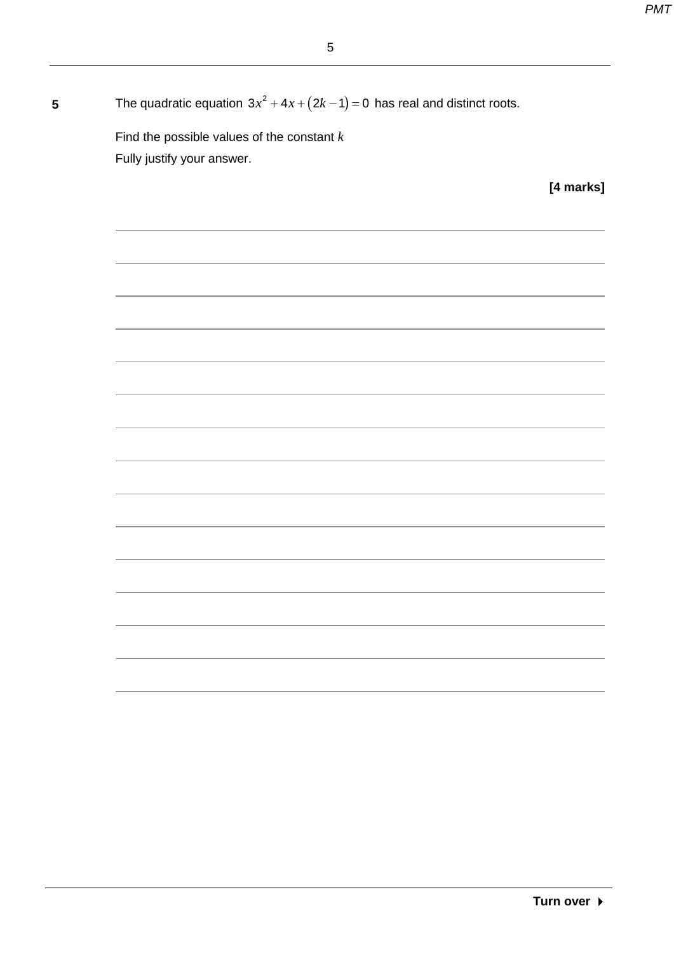| The quadratic equation $3x^2 + 4x + (2k-1) = 0$ has real and distinct roots.<br>- |  |
|-----------------------------------------------------------------------------------|--|
|-----------------------------------------------------------------------------------|--|

Find the possible values of the constant *k* Fully justify your answer.

**[4 marks]**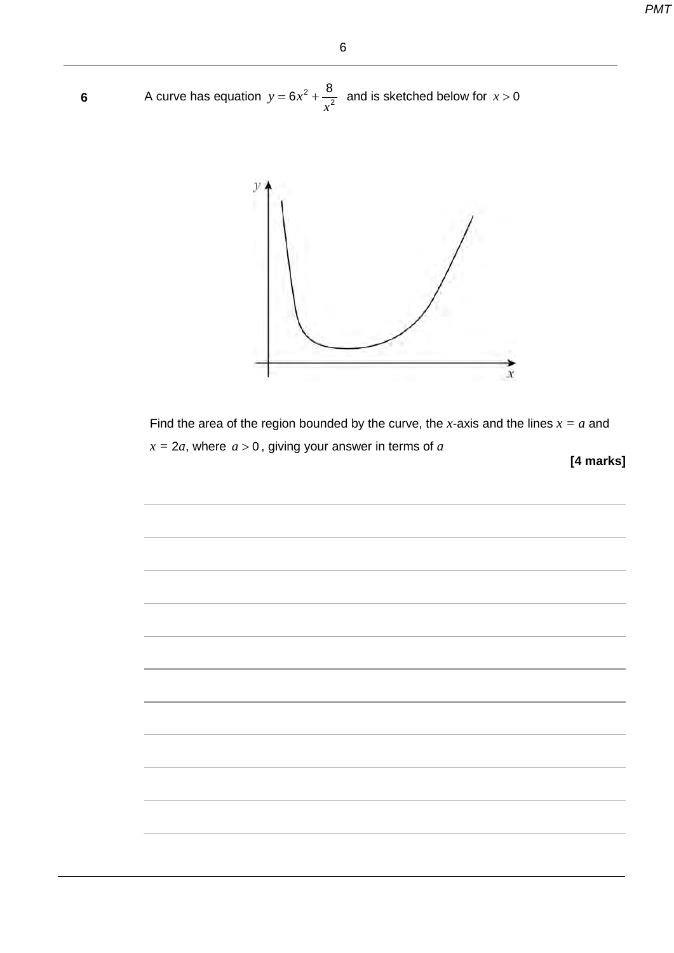6

**6** A curve has equation  $y = 6x$ *x*  $= 6x^2 + \frac{8}{x^2}$  and is sketched below for  $x > 0$ 



Find the area of the region bounded by the curve, the *x*-axis and the lines  $x = a$  and  $x = 2a$ , where  $a > 0$ , giving your answer in terms of  $a$ 

**[4 marks]**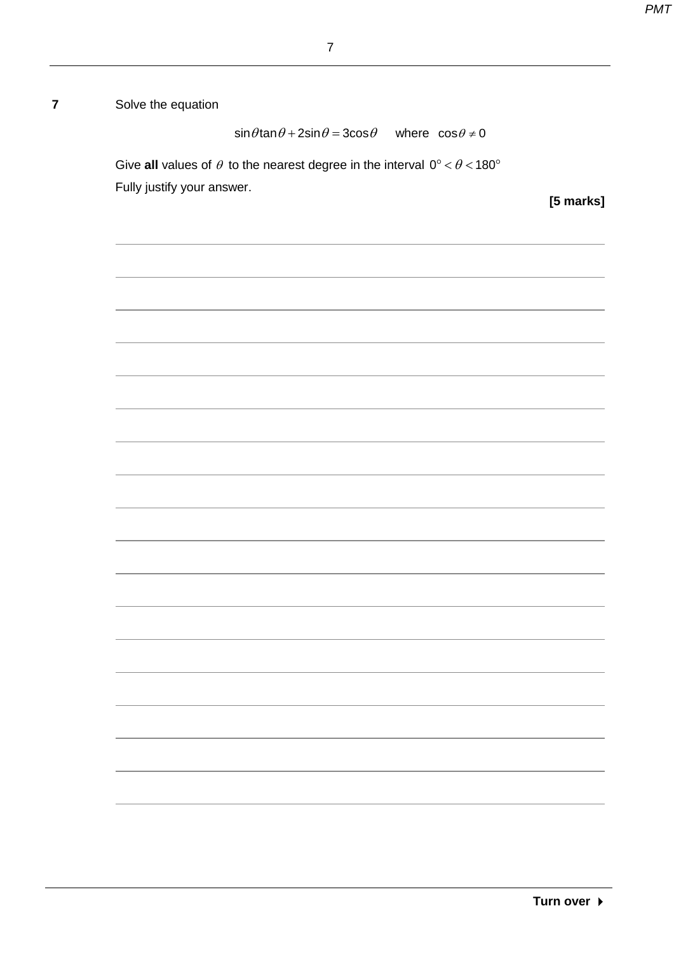**7** Solve the equation

 $\sin \theta \tan \theta + 2\sin \theta = 3\cos \theta$  where  $\cos \theta \neq 0$ 

Give all values of  $\theta$  to the nearest degree in the interval  $0^{\circ} < \theta < 180^{\circ}$ Fully justify your answer.

**[5 marks]**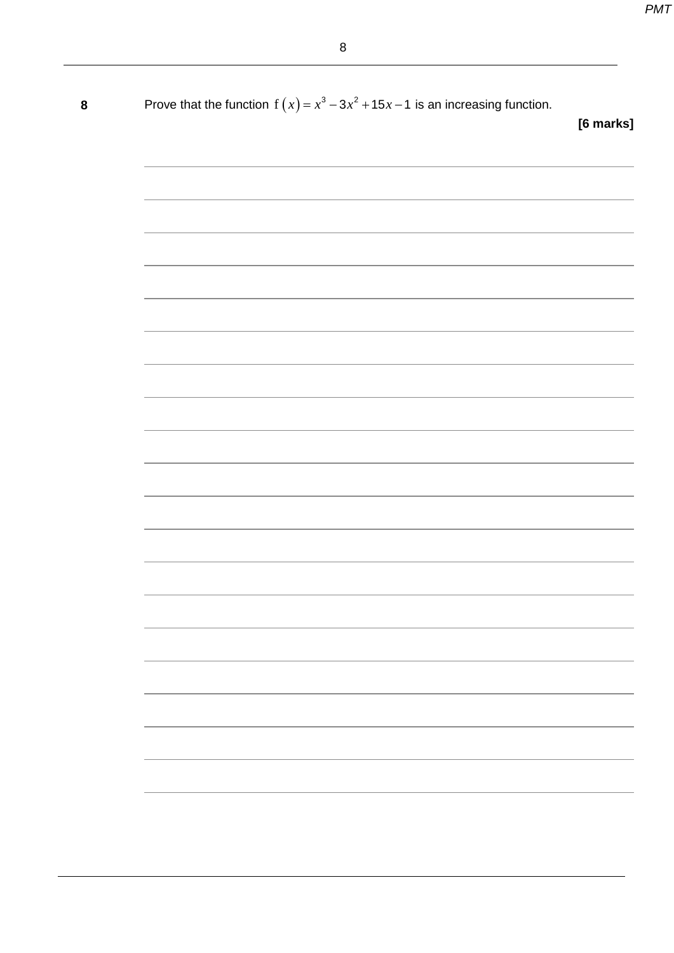| 8 | Prove that the function $f(x) = x^3 - 3x^2 + 15x - 1$ is an increasing function.                                                                                                                                              | [6 marks] |
|---|-------------------------------------------------------------------------------------------------------------------------------------------------------------------------------------------------------------------------------|-----------|
|   |                                                                                                                                                                                                                               |           |
|   |                                                                                                                                                                                                                               |           |
|   | ,我们也不能在这里的时候,我们也不能在这里的时候,我们也不能会在这里的时候,我们也不能会在这里的时候,我们也不能会在这里的时候,我们也不能会在这里的时候,我们也不                                                                                                                                             |           |
|   | the control of the control of the control of the control of the control of the control of the control of the control of the control of the control of the control of the control of the control of the control of the control |           |
|   | <u> 1989 - Andrea Santa Andrea Andrea Andrea Andrea Andrea Andrea Andrea Andrea Andrea Andrea Andrea Andrea Andr</u>                                                                                                          |           |
|   |                                                                                                                                                                                                                               |           |
|   |                                                                                                                                                                                                                               |           |
|   |                                                                                                                                                                                                                               |           |
|   |                                                                                                                                                                                                                               |           |
|   |                                                                                                                                                                                                                               |           |
|   |                                                                                                                                                                                                                               |           |
|   |                                                                                                                                                                                                                               |           |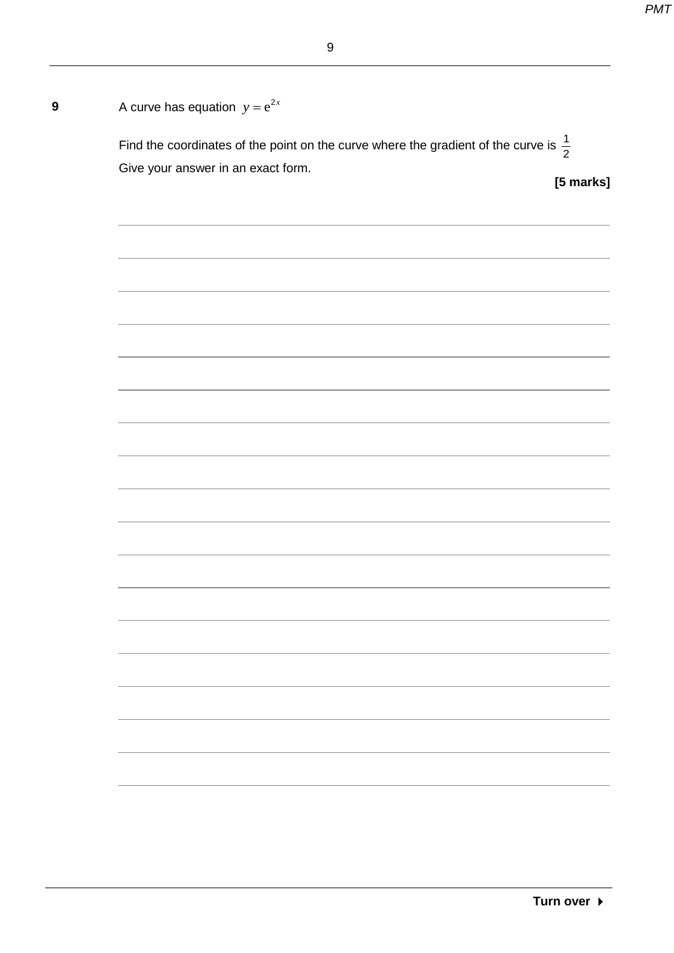| A curve has equation $y = e^{2x}$                                                               |  |
|-------------------------------------------------------------------------------------------------|--|
| Find the coordinates of the point on the curve where the gradient of the curve is $\frac{1}{2}$ |  |
| Give your answer in an exact form.<br>[5 marks]                                                 |  |
|                                                                                                 |  |
|                                                                                                 |  |
|                                                                                                 |  |
|                                                                                                 |  |
|                                                                                                 |  |
|                                                                                                 |  |
|                                                                                                 |  |
|                                                                                                 |  |
|                                                                                                 |  |
|                                                                                                 |  |
|                                                                                                 |  |
|                                                                                                 |  |
|                                                                                                 |  |
|                                                                                                 |  |
|                                                                                                 |  |
|                                                                                                 |  |
|                                                                                                 |  |
|                                                                                                 |  |
|                                                                                                 |  |
|                                                                                                 |  |
|                                                                                                 |  |
|                                                                                                 |  |
|                                                                                                 |  |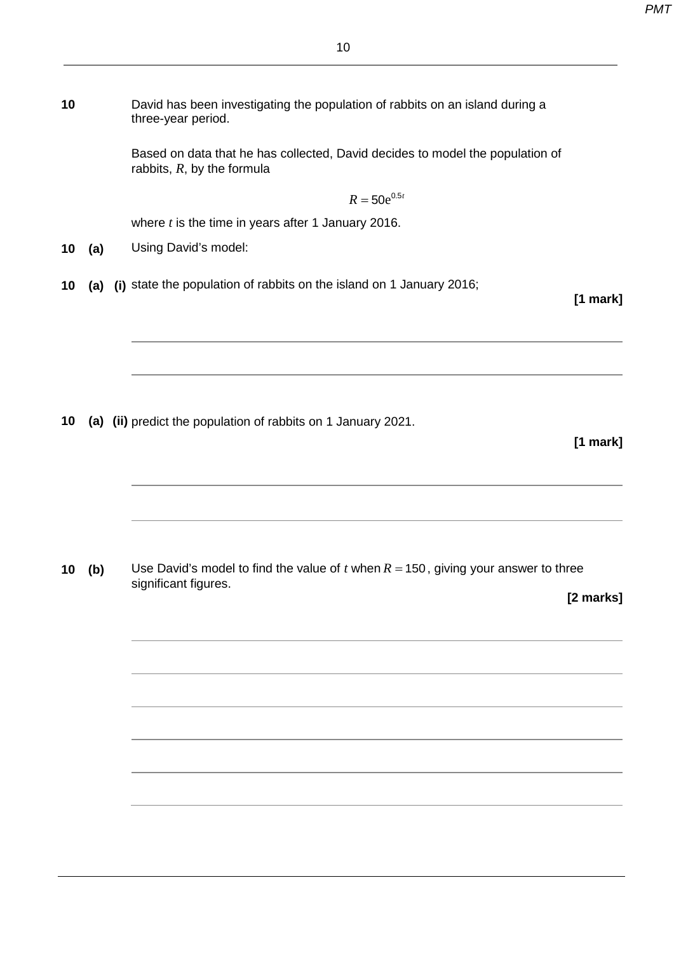| 10 | David has been investigating the population of rabbits on an island during a<br>three-year period. |
|----|----------------------------------------------------------------------------------------------------|
|    | Rassed on data that he has collected. David decides to model the population of                     |

Based on data that he has collected, David decides to model the population of rabbits, *R*, by the formula

 $R = 50e^{0.5t}$ 

where *t* is the time in years after 1 January 2016.

**10 (a)** Using David's model:

**10 (a) (i)** state the population of rabbits on the island on 1 January 2016;

**[1 mark]**

**10 (a) (ii)** predict the population of rabbits on 1 January 2021.

**[1 mark]**

**10 (b)** Use David's model to find the value of *t* when *R* = 150, giving your answer to three significant figures.

**[2 marks]**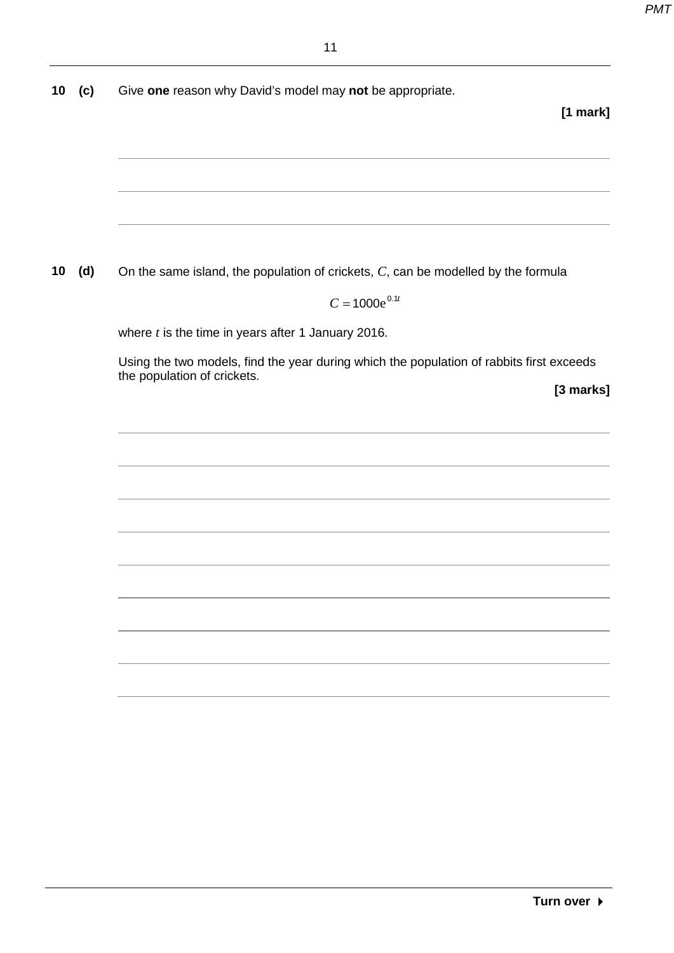**10 (c)** Give **one** reason why David's model may **not** be appropriate.

#### **[1 mark]**

**10 (d)** On the same island, the population of crickets, *C*, can be modelled by the formula

 $C = 1000e^{0.1t}$ 

where *t* is the time in years after 1 January 2016.

Using the two models, find the year during which the population of rabbits first exceeds the population of crickets.

**[3 marks]**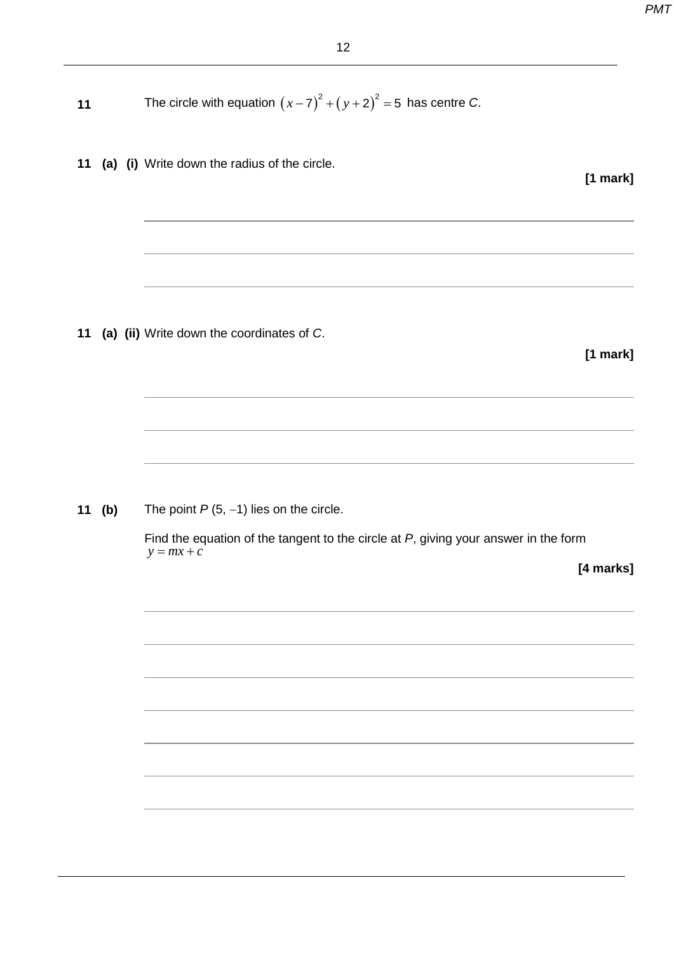| 11 |        | The circle with equation $(x-7)^2 + (y+2)^2 = 5$ has centre C.                         |
|----|--------|----------------------------------------------------------------------------------------|
| 11 |        | (a) (i) Write down the radius of the circle.<br>$[1$ mark]                             |
|    |        |                                                                                        |
| 11 |        | (a) (ii) Write down the coordinates of C.<br>$[1$ mark]                                |
|    | 11 (b) | The point $P(5, -1)$ lies on the circle.                                               |
|    |        | Find the equation of the tangent to the circle at $P$ , giving your answer in the form |
|    |        | $y = mx + c$<br>[4 marks]                                                              |
|    |        |                                                                                        |
|    |        |                                                                                        |
|    |        |                                                                                        |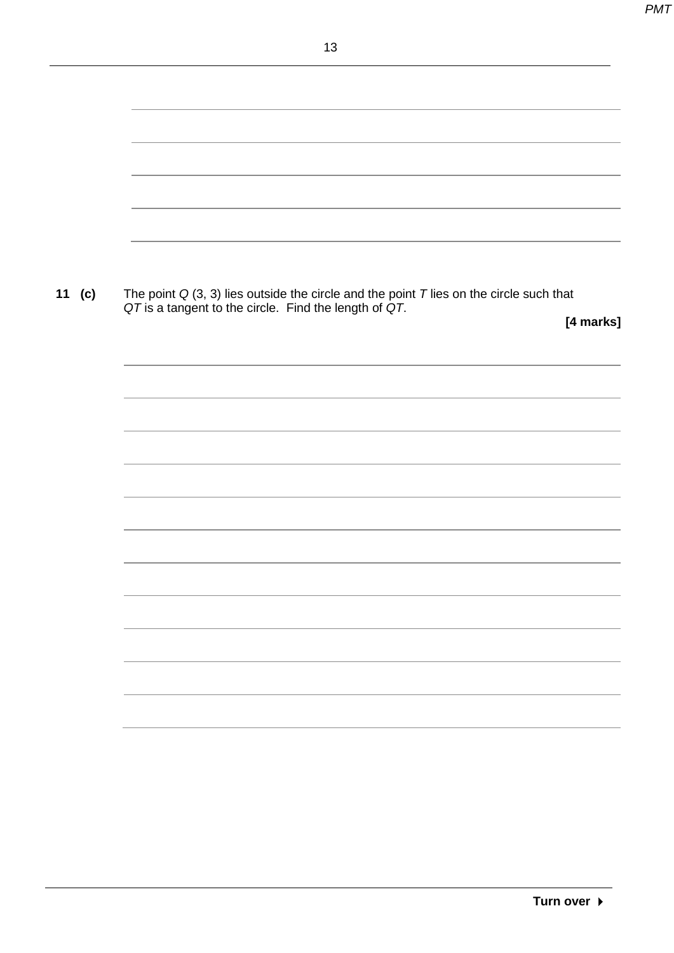| 11 $(c)$ | The point $Q(3, 3)$ lies outside the circle and the point T lies on the circle such that<br>QT is a tangent to the circle. Find the length of QT. |           |
|----------|---------------------------------------------------------------------------------------------------------------------------------------------------|-----------|
|          |                                                                                                                                                   | [4 marks] |
|          |                                                                                                                                                   |           |
|          |                                                                                                                                                   |           |
|          |                                                                                                                                                   |           |
|          |                                                                                                                                                   |           |
|          |                                                                                                                                                   |           |
|          |                                                                                                                                                   |           |
|          |                                                                                                                                                   |           |
|          |                                                                                                                                                   |           |
|          |                                                                                                                                                   |           |
|          |                                                                                                                                                   |           |
|          |                                                                                                                                                   |           |
|          |                                                                                                                                                   |           |
|          |                                                                                                                                                   |           |
|          |                                                                                                                                                   |           |
|          |                                                                                                                                                   |           |
|          |                                                                                                                                                   |           |
|          |                                                                                                                                                   |           |
|          |                                                                                                                                                   |           |
|          |                                                                                                                                                   |           |
|          |                                                                                                                                                   |           |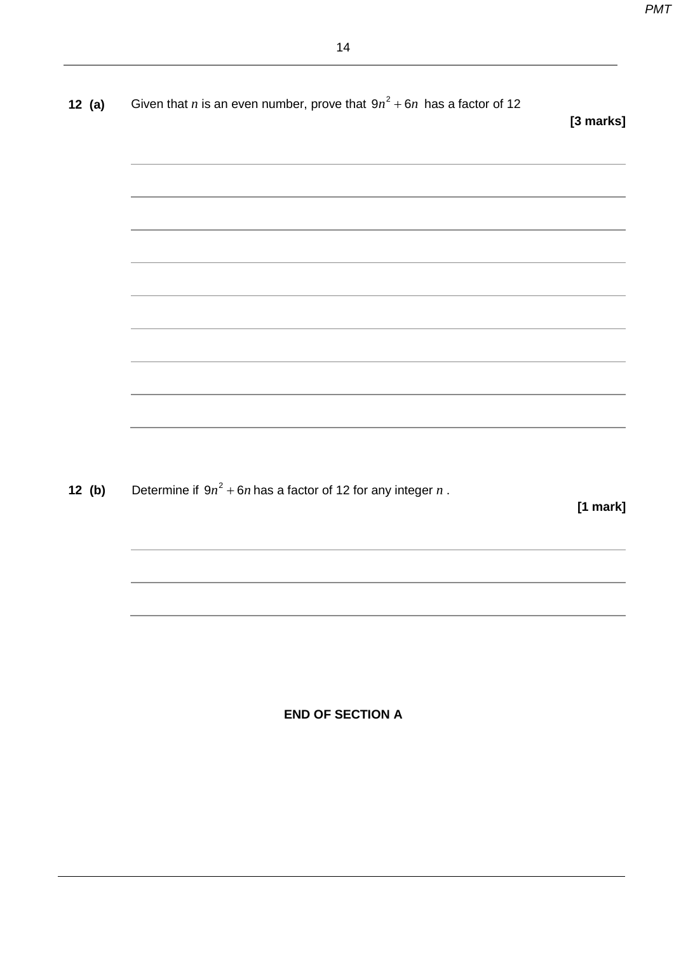| 12(a) | Given that <i>n</i> is an even number, prove that $9n^2 + 6n$ has a factor of 12 | [3 marks]  |
|-------|----------------------------------------------------------------------------------|------------|
|       |                                                                                  |            |
|       |                                                                                  |            |
|       | ,我们也不能在这里的时候,我们也不能在这里的时候,我们也不能会在这里的时候,我们也不能会在这里的时候,我们也不能会在这里的时候,我们也不能会在这里的时候,我们也 |            |
|       |                                                                                  |            |
|       |                                                                                  |            |
|       |                                                                                  |            |
|       |                                                                                  |            |
|       |                                                                                  |            |
|       |                                                                                  |            |
| 12(b) | Determine if $9n^2 + 6n$ has a factor of 12 for any integer n.                   | $[1$ mark] |
|       |                                                                                  |            |
|       |                                                                                  |            |
|       |                                                                                  |            |

**END OF SECTION A**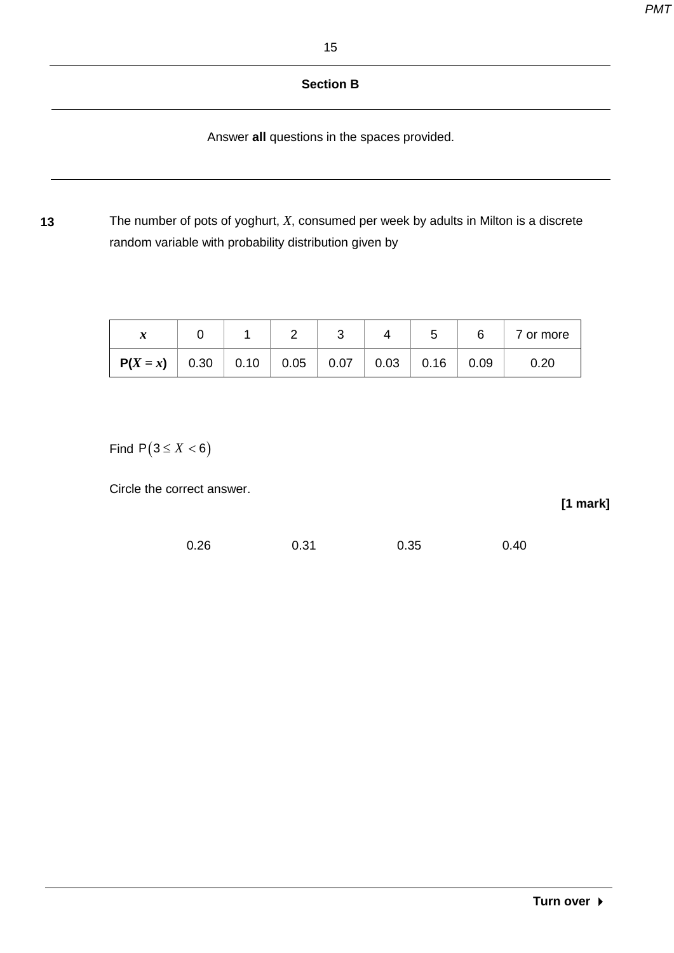#### **Section B**

Answer **all** questions in the spaces provided.

**13** The number of pots of yoghurt, *X*, consumed per week by adults in Milton is a discrete random variable with probability distribution given by

| л                                      |  | J |                                                                | 5 |      | 7 or more |
|----------------------------------------|--|---|----------------------------------------------------------------|---|------|-----------|
| $P(X = x)$   0.30   0.10   0.05   0.07 |  |   | $\begin{array}{ c c c c c }\n\hline\n0.03 & 0.16\n\end{array}$ |   | 0.09 | 0.20      |

Find  $P(3 \le X < 6)$ 

Circle the correct answer.

| 0.26 | 0.31 | 0.35 | 0.40 |
|------|------|------|------|
|      |      |      |      |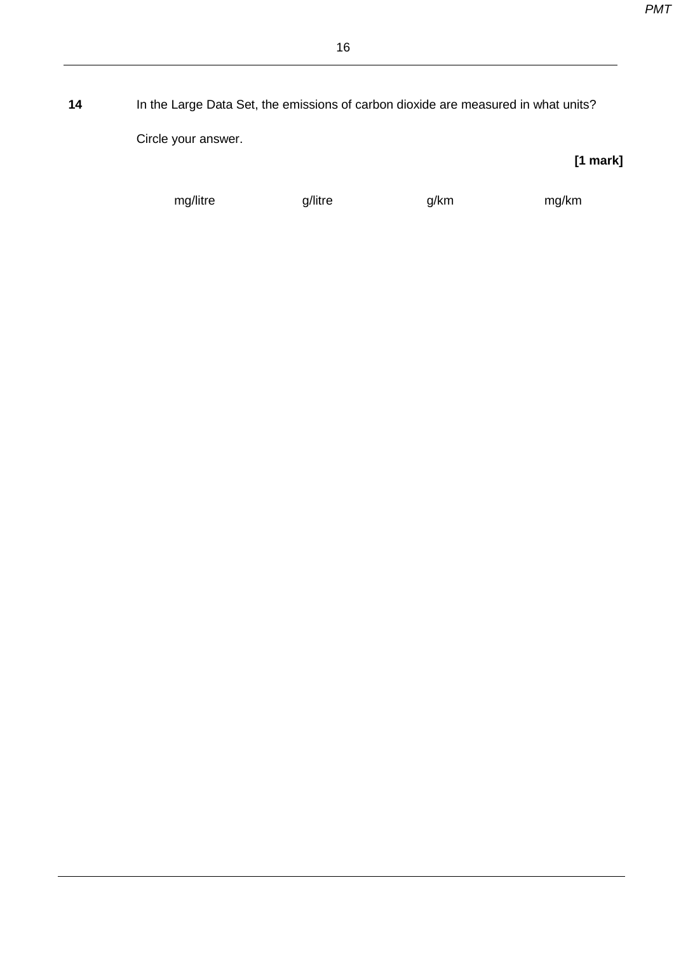**14** In the Large Data Set, the emissions of carbon dioxide are measured in what units? Circle your answer.

mg/litre g/litre g/km mg/km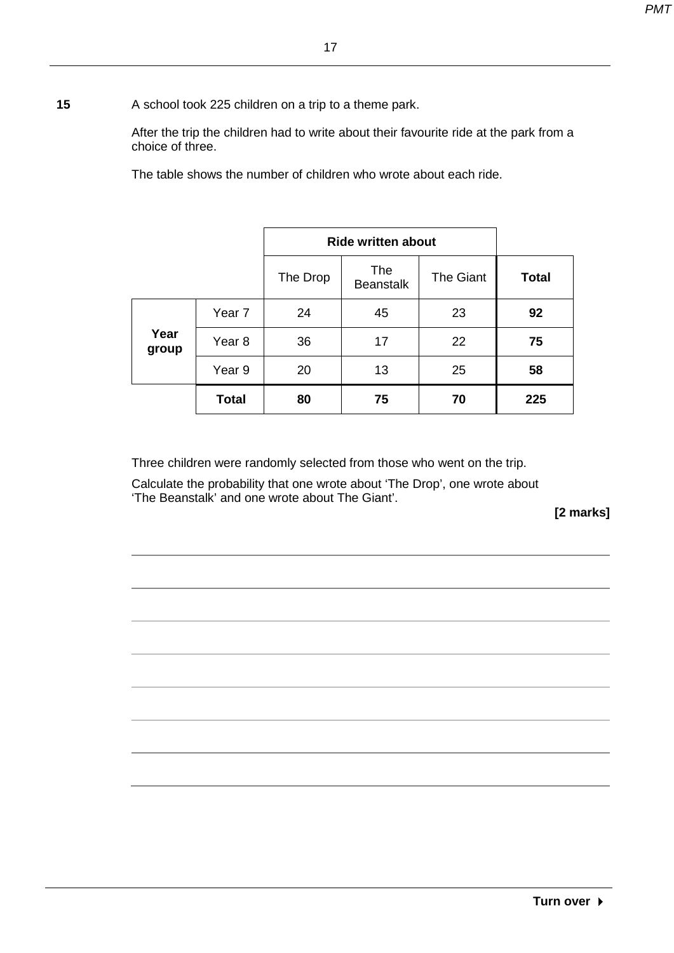**15** A school took 225 children on a trip to a theme park.

After the trip the children had to write about their favourite ride at the park from a choice of three.

The table shows the number of children who wrote about each ride.

|               |                   | <b>Ride written about</b> |                                |           |              |
|---------------|-------------------|---------------------------|--------------------------------|-----------|--------------|
|               |                   | The Drop                  | <b>The</b><br><b>Beanstalk</b> | The Giant | <b>Total</b> |
|               | Year <sub>7</sub> | 24                        | 45                             | 23        | 92           |
| Year<br>group | Year <sub>8</sub> | 36                        | 17                             | 22        | 75           |
|               | Year 9            | 20                        | 13                             | 25        | 58           |
|               | <b>Total</b>      | 80                        | 75                             | 70        | 225          |

Three children were randomly selected from those who went on the trip.

Calculate the probability that one wrote about 'The Drop', one wrote about 'The Beanstalk' and one wrote about The Giant'.

**[2 marks]**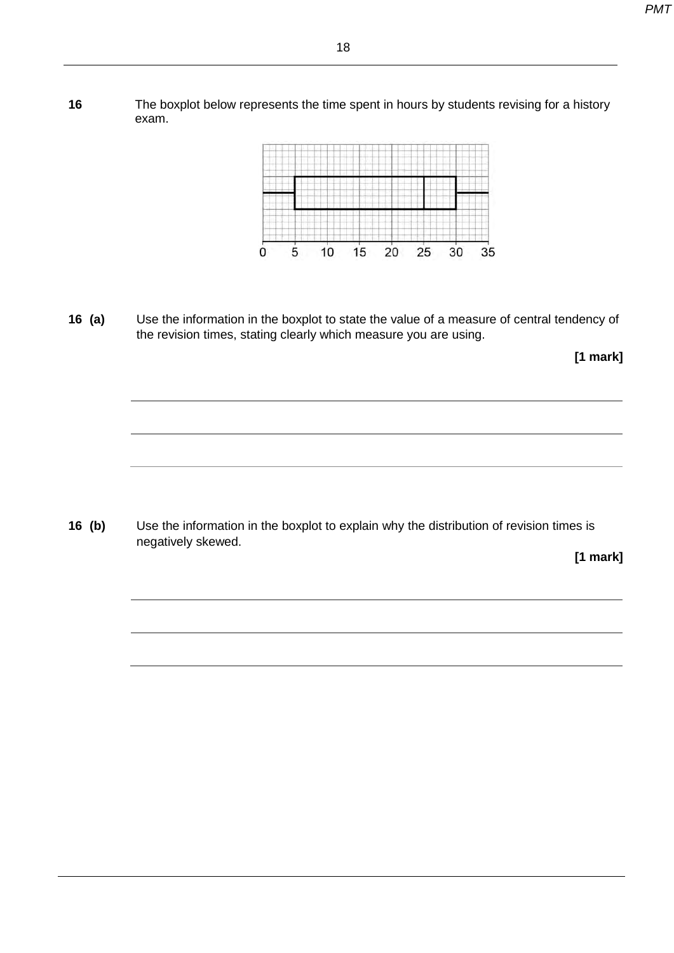**16** The boxplot below represents the time spent in hours by students revising for a history exam.



**16 (a)** Use the information in the boxplot to state the value of a measure of central tendency of the revision times, stating clearly which measure you are using.

**[1 mark]**

**16 (b)** Use the information in the boxplot to explain why the distribution of revision times is negatively skewed.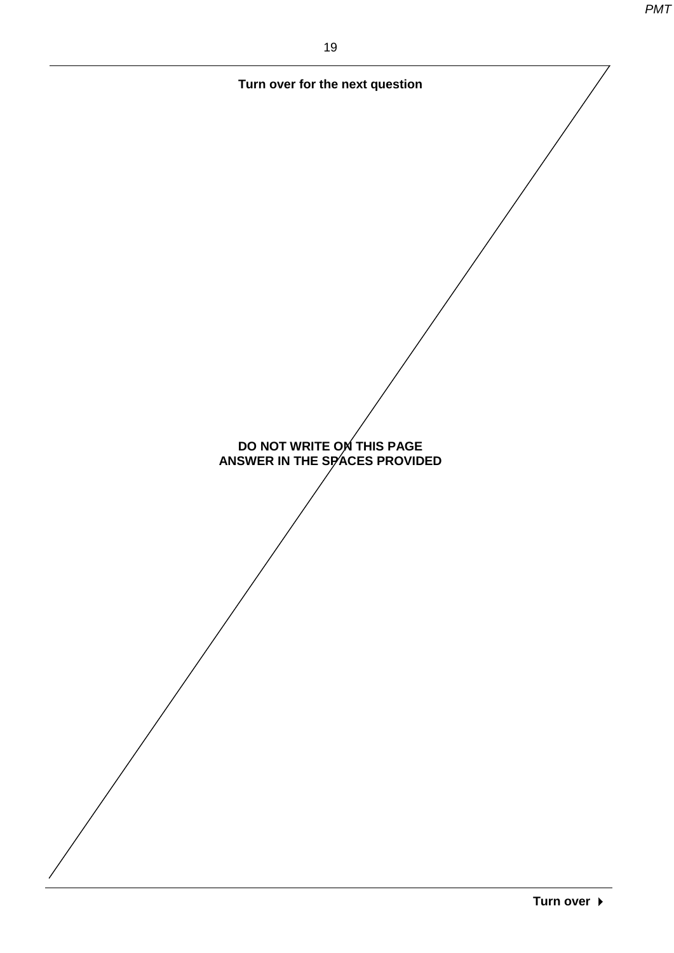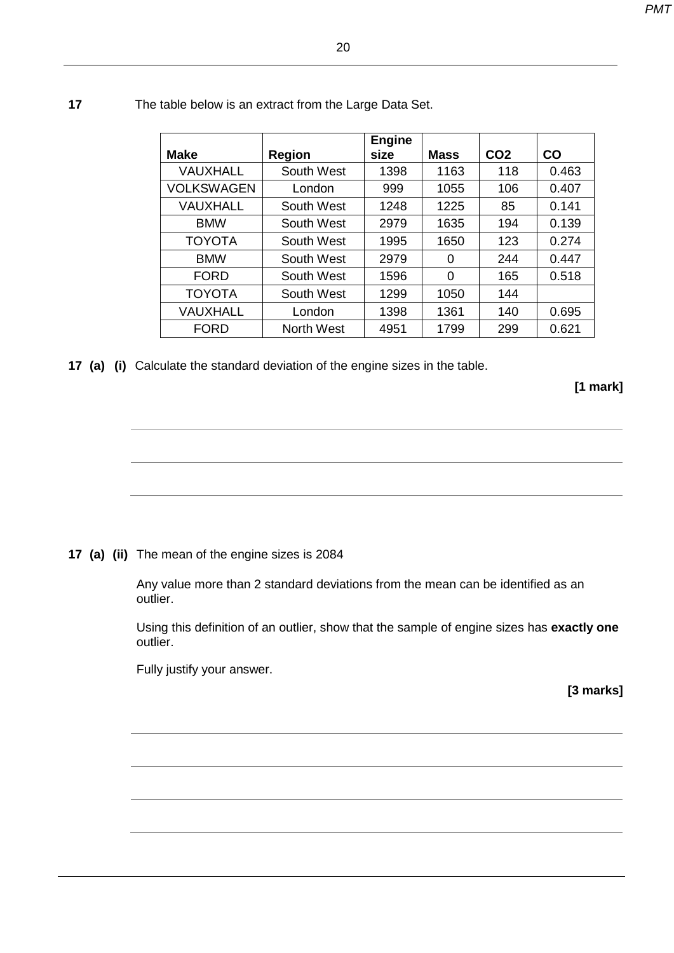| <b>Make</b>       | <b>Region</b>     | <b>Engine</b><br>size | <b>Mass</b> | CO <sub>2</sub> | CO    |
|-------------------|-------------------|-----------------------|-------------|-----------------|-------|
| <b>VAUXHALL</b>   | South West        | 1398                  | 1163        | 118             | 0.463 |
| <b>VOLKSWAGEN</b> | London            | 999                   | 1055        | 106             | 0.407 |
| <b>VAUXHALL</b>   | South West        | 1248                  | 1225        | 85              | 0.141 |
| <b>BMW</b>        | South West        | 2979                  | 1635        | 194             | 0.139 |
| <b>TOYOTA</b>     | South West        | 1995                  | 1650        | 123             | 0.274 |
| <b>BMW</b>        | South West        | 2979                  | 0           | 244             | 0.447 |
| <b>FORD</b>       | South West        | 1596                  | 0           | 165             | 0.518 |
| <b>TOYOTA</b>     | South West        | 1299                  | 1050        | 144             |       |
| <b>VAUXHALL</b>   | London            | 1398                  | 1361        | 140             | 0.695 |
| <b>FORD</b>       | <b>North West</b> | 4951                  | 1799        | 299             | 0.621 |

#### **17** The table below is an extract from the Large Data Set.

**17 (a) (i)** Calculate the standard deviation of the engine sizes in the table.

**[1 mark]**

#### **17 (a) (ii)** The mean of the engine sizes is 2084

Any value more than 2 standard deviations from the mean can be identified as an outlier.

Using this definition of an outlier, show that the sample of engine sizes has **exactly one** outlier.

Fully justify your answer.

**[3 marks]**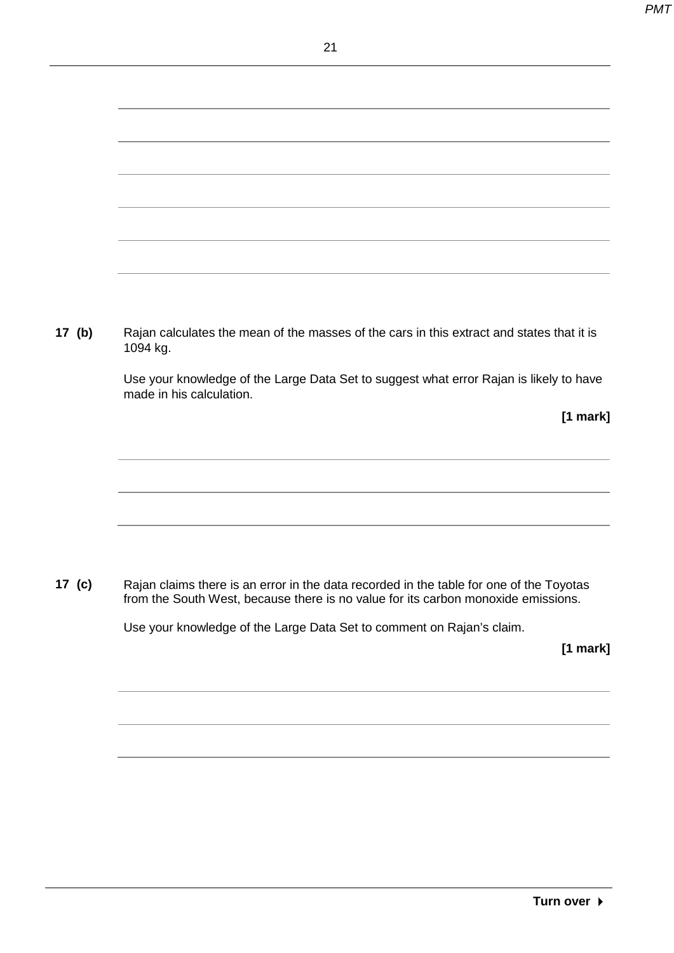| 17 $(b)$ | Rajan calculates the mean of the masses of the cars in this extract and states that it is<br>1094 kg.              |  |  |
|----------|--------------------------------------------------------------------------------------------------------------------|--|--|
|          | Use your knowledge of the Large Data Set to suggest what error Rajan is likely to have<br>made in his calculation. |  |  |
|          | $[1$ mark]                                                                                                         |  |  |

**17 (c)** Rajan claims there is an error in the data recorded in the table for one of the Toyotas from the South West, because there is no value for its carbon monoxide emissions.

Use your knowledge of the Large Data Set to comment on Rajan's claim.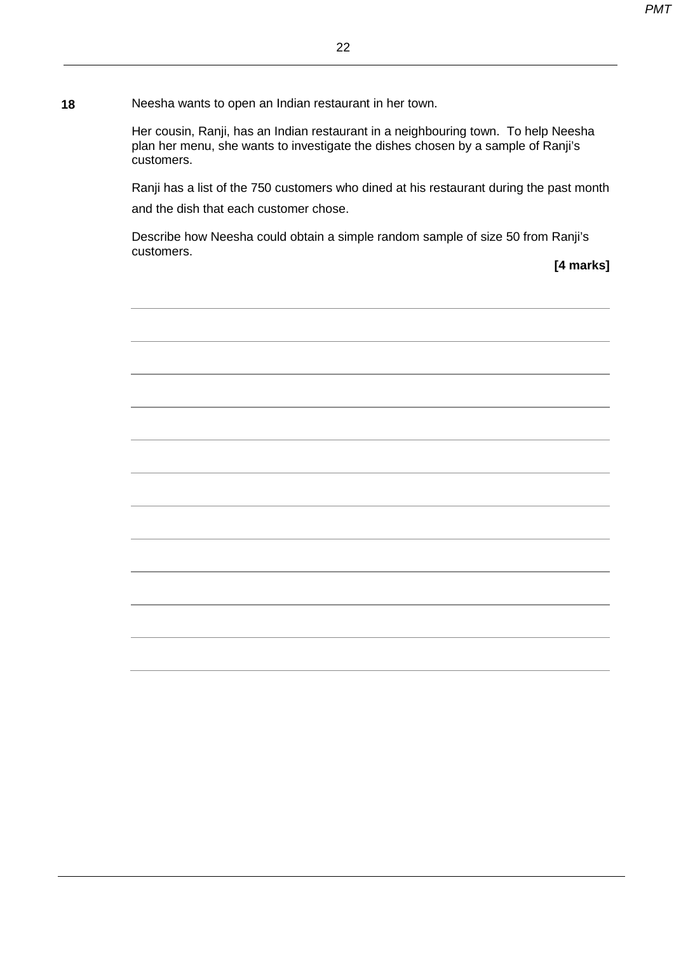**18** Neesha wants to open an Indian restaurant in her town.

Her cousin, Ranji, has an Indian restaurant in a neighbouring town. To help Neesha plan her menu, she wants to investigate the dishes chosen by a sample of Ranji's customers.

Ranji has a list of the 750 customers who dined at his restaurant during the past month and the dish that each customer chose.

Describe how Neesha could obtain a simple random sample of size 50 from Ranji's customers.

**[4 marks]**

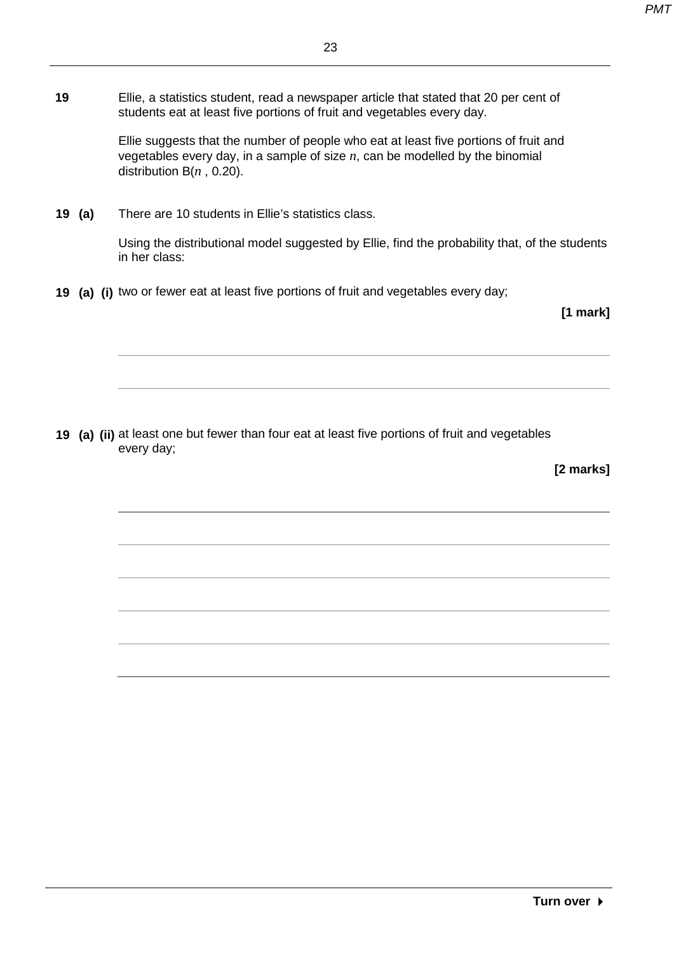**19** Ellie, a statistics student, read a newspaper article that stated that 20 per cent of students eat at least five portions of fruit and vegetables every day.

> Ellie suggests that the number of people who eat at least five portions of fruit and vegetables every day, in a sample of size *n*, can be modelled by the binomial distribution B(*n* , 0.20).

**19 (a)** There are 10 students in Ellie's statistics class.

Using the distributional model suggested by Ellie, find the probability that, of the students in her class:

**19 (a) (i)** two or fewer eat at least five portions of fruit and vegetables every day;

**[1 mark]**

**19 (a) (ii)** at least one but fewer than four eat at least five portions of fruit and vegetables every day;

**[2 marks]**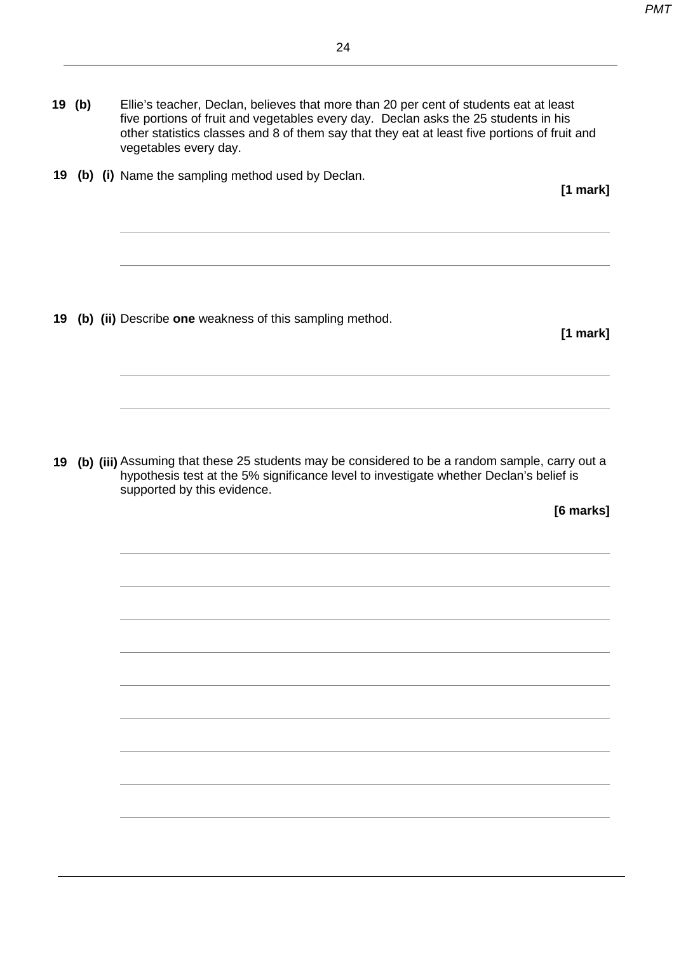**19 (b)** Ellie's teacher, Declan, believes that more than 20 per cent of students eat at least five portions of fruit and vegetables every day. Declan asks the 25 students in his other statistics classes and 8 of them say that they eat at least five portions of fruit and vegetables every day.

**19 (b) (i)** Name the sampling method used by Declan.

**19 (b) (ii)** Describe **one** weakness of this sampling method.

**19 (b) (iii)** Assuming that these 25 students may be considered to be a random sample, carry out a hypothesis test at the 5% significance level to investigate whether Declan's belief is supported by this evidence.

**[6 marks]**

**[1 mark]**